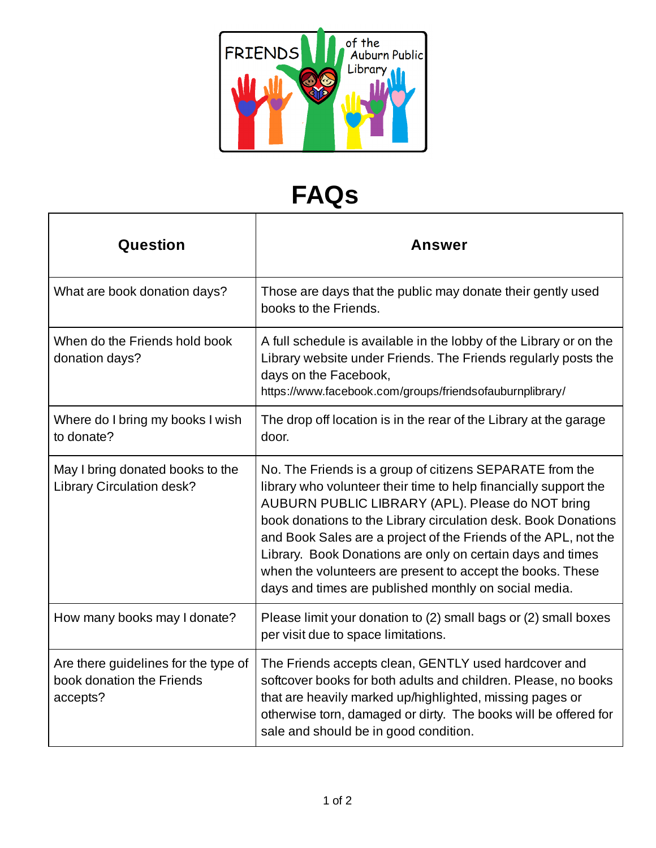

## **FAQs**

| Question                                                                      | <b>Answer</b>                                                                                                                                                                                                                                                                                                                                                                                                                                                                                              |
|-------------------------------------------------------------------------------|------------------------------------------------------------------------------------------------------------------------------------------------------------------------------------------------------------------------------------------------------------------------------------------------------------------------------------------------------------------------------------------------------------------------------------------------------------------------------------------------------------|
| What are book donation days?                                                  | Those are days that the public may donate their gently used<br>books to the Friends.                                                                                                                                                                                                                                                                                                                                                                                                                       |
| When do the Friends hold book<br>donation days?                               | A full schedule is available in the lobby of the Library or on the<br>Library website under Friends. The Friends regularly posts the<br>days on the Facebook,<br>https://www.facebook.com/groups/friendsofauburnplibrary/                                                                                                                                                                                                                                                                                  |
| Where do I bring my books I wish<br>to donate?                                | The drop off location is in the rear of the Library at the garage<br>door.                                                                                                                                                                                                                                                                                                                                                                                                                                 |
| May I bring donated books to the<br><b>Library Circulation desk?</b>          | No. The Friends is a group of citizens SEPARATE from the<br>library who volunteer their time to help financially support the<br>AUBURN PUBLIC LIBRARY (APL). Please do NOT bring<br>book donations to the Library circulation desk. Book Donations<br>and Book Sales are a project of the Friends of the APL, not the<br>Library. Book Donations are only on certain days and times<br>when the volunteers are present to accept the books. These<br>days and times are published monthly on social media. |
| How many books may I donate?                                                  | Please limit your donation to (2) small bags or (2) small boxes<br>per visit due to space limitations.                                                                                                                                                                                                                                                                                                                                                                                                     |
| Are there guidelines for the type of<br>book donation the Friends<br>accepts? | The Friends accepts clean, GENTLY used hardcover and<br>softcover books for both adults and children. Please, no books<br>that are heavily marked up/highlighted, missing pages or<br>otherwise torn, damaged or dirty. The books will be offered for<br>sale and should be in good condition.                                                                                                                                                                                                             |